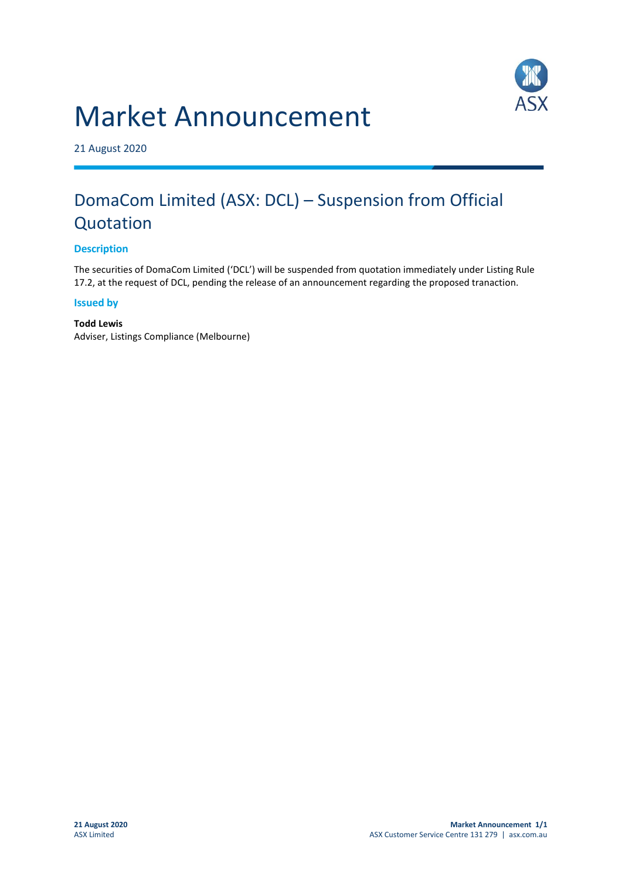# Market Announcement



21 August 2020

## DomaCom Limited (ASX: DCL) – Suspension from Official Quotation

#### **Description**

The securities of DomaCom Limited ('DCL') will be suspended from quotation immediately under Listing Rule 17.2, at the request of DCL, pending the release of an announcement regarding the proposed tranaction.

#### **Issued by**

**Todd Lewis** Adviser, Listings Compliance (Melbourne)